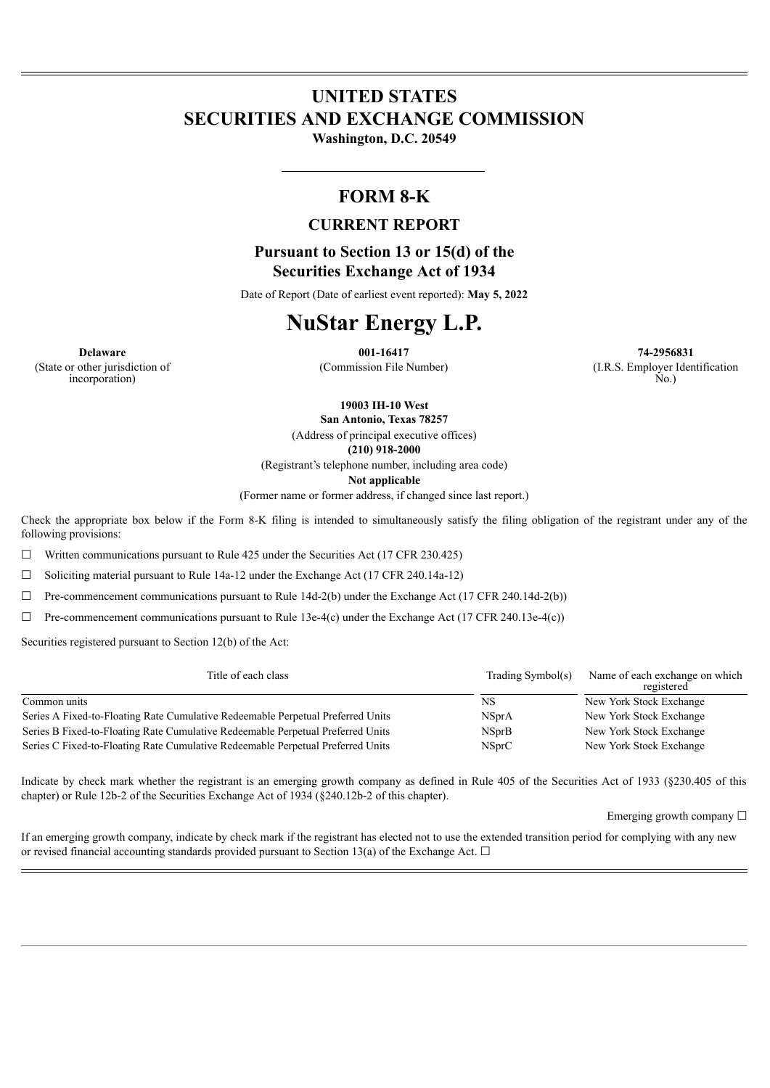# **UNITED STATES SECURITIES AND EXCHANGE COMMISSION**

**Washington, D.C. 20549**

# **FORM 8-K**

# **CURRENT REPORT**

**Pursuant to Section 13 or 15(d) of the Securities Exchange Act of 1934**

Date of Report (Date of earliest event reported): **May 5, 2022**

# **NuStar Energy L.P.**

**Delaware 001-16417 74-2956831** (Commission File Number) (I.R.S. Employer Identification No.)

(State or other jurisdiction of incorporation)

**19003 IH-10 West**

**San Antonio, Texas 78257**

(Address of principal executive offices) **(210) 918-2000**

(Registrant's telephone number, including area code)

**Not applicable**

(Former name or former address, if changed since last report.)

Check the appropriate box below if the Form 8-K filing is intended to simultaneously satisfy the filing obligation of the registrant under any of the following provisions:

 $\Box$  Written communications pursuant to Rule 425 under the Securities Act (17 CFR 230.425)

☐ Soliciting material pursuant to Rule 14a-12 under the Exchange Act (17 CFR 240.14a-12)

 $\Box$  Pre-commencement communications pursuant to Rule 14d-2(b) under the Exchange Act (17 CFR 240.14d-2(b))

 $\Box$  Pre-commencement communications pursuant to Rule 13e-4(c) under the Exchange Act (17 CFR 240.13e-4(c))

Securities registered pursuant to Section 12(b) of the Act:

| Title of each class                                                             | Trading Symbol(s) | Name of each exchange on which<br>registered |
|---------------------------------------------------------------------------------|-------------------|----------------------------------------------|
| Common units                                                                    | NS                | New York Stock Exchange                      |
| Series A Fixed-to-Floating Rate Cumulative Redeemable Perpetual Preferred Units | <b>NSprA</b>      | New York Stock Exchange                      |
| Series B Fixed-to-Floating Rate Cumulative Redeemable Perpetual Preferred Units | <b>NSprB</b>      | New York Stock Exchange                      |
| Series C Fixed-to-Floating Rate Cumulative Redeemable Perpetual Preferred Units | NSprC             | New York Stock Exchange                      |

Indicate by check mark whether the registrant is an emerging growth company as defined in Rule 405 of the Securities Act of 1933 (§230.405 of this chapter) or Rule 12b-2 of the Securities Exchange Act of 1934 (§240.12b-2 of this chapter).

Emerging growth company  $\Box$ 

If an emerging growth company, indicate by check mark if the registrant has elected not to use the extended transition period for complying with any new or revised financial accounting standards provided pursuant to Section 13(a) of the Exchange Act.  $\Box$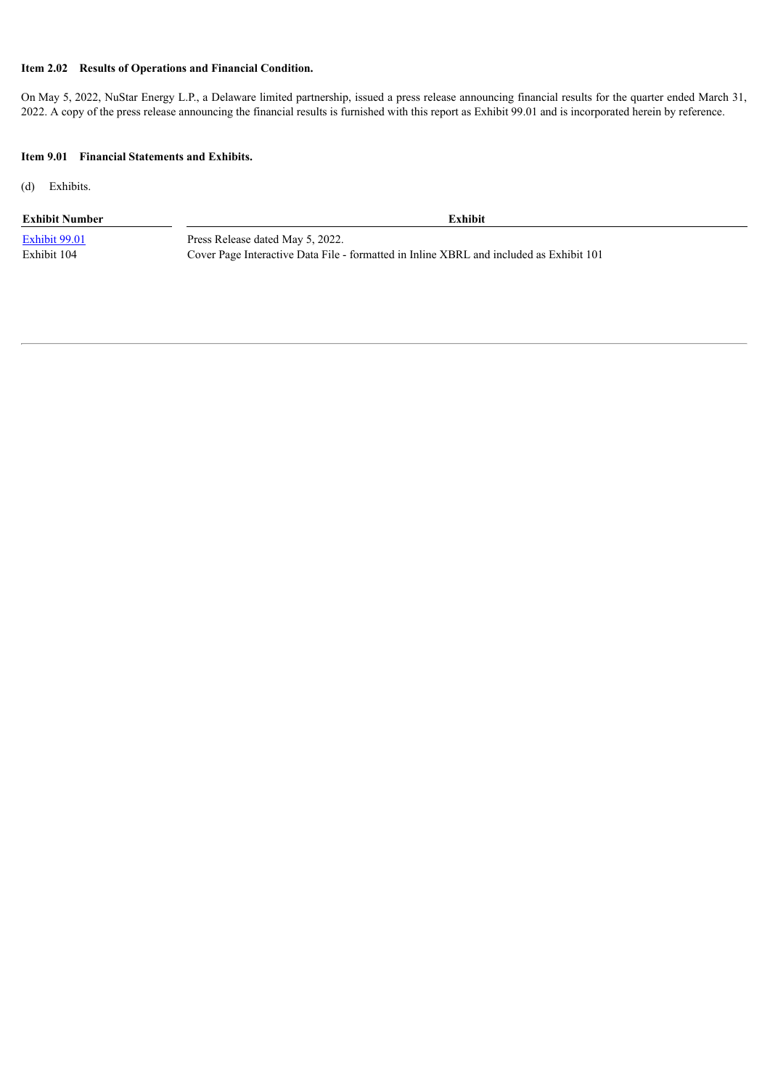#### **Item 2.02 Results of Operations and Financial Condition.**

On May 5, 2022, NuStar Energy L.P., a Delaware limited partnership, issued a press release announcing financial results for the quarter ended March 31, 2022. A copy of the press release announcing the financial results is furnished with this report as Exhibit 99.01 and is incorporated herein by reference.

#### **Item 9.01 Financial Statements and Exhibits.**

(d) Exhibits.

#### **Exhibit Number Exhibit**

[Exhibit](#page-3-0) 99.01 Press Release dated May 5, 2022. Exhibit 104 Cover Page Interactive Data File - formatted in Inline XBRL and included as Exhibit 101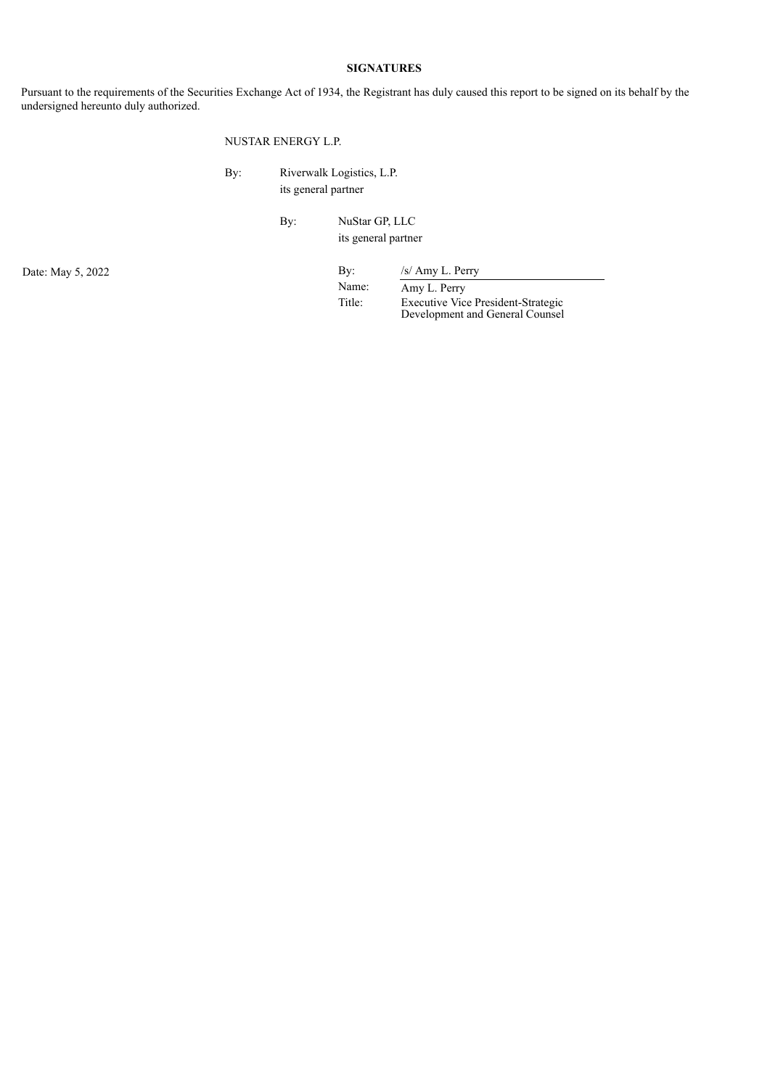#### **SIGNATURES**

Pursuant to the requirements of the Securities Exchange Act of 1934, the Registrant has duly caused this report to be signed on its behalf by the undersigned hereunto duly authorized.

#### NUSTAR ENERGY L.P.

By: Riverwalk Logistics, L.P. its general partner

> By: NuStar GP, LLC its general partner

# Date: May 5, 2022 By: /s/ Amy L. Perry

Name: Amy L. Perry Title: Executive Vice President-Strategic Development and General Counsel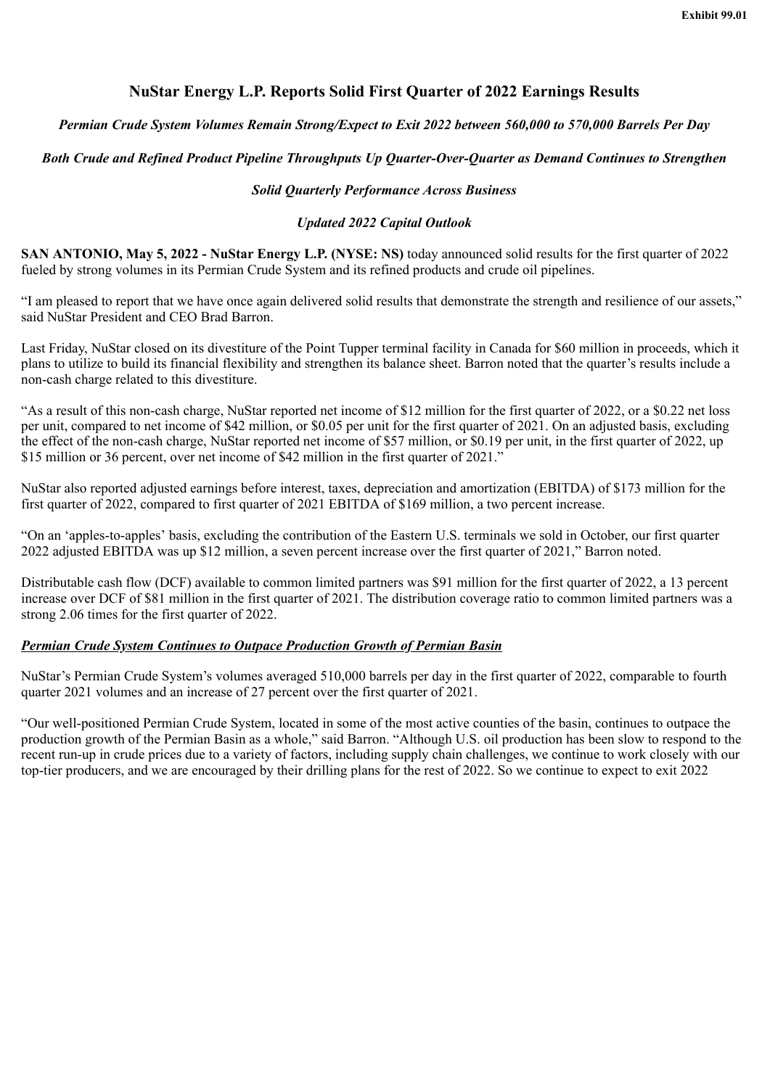# **NuStar Energy L.P. Reports Solid First Quarter of 2022 Earnings Results**

# <span id="page-3-0"></span>*Permian Crude System Volumes Remain Strong/Expect to Exit 2022 between 560,000 to 570,000 Barrels Per Day*

# *Both Crude and Refined Product Pipeline Throughputs Up Quarter-Over-Quarter as Demand Continues to Strengthen*

#### *Solid Quarterly Performance Across Business*

### *Updated 2022 Capital Outlook*

**SAN ANTONIO, May 5, 2022 - NuStar Energy L.P. (NYSE: NS)** today announced solid results for the first quarter of 2022 fueled by strong volumes in its Permian Crude System and its refined products and crude oil pipelines.

"I am pleased to report that we have once again delivered solid results that demonstrate the strength and resilience of our assets," said NuStar President and CEO Brad Barron.

Last Friday, NuStar closed on its divestiture of the Point Tupper terminal facility in Canada for \$60 million in proceeds, which it plans to utilize to build its financial flexibility and strengthen its balance sheet. Barron noted that the quarter's results include a non-cash charge related to this divestiture.

"As a result of this non-cash charge, NuStar reported net income of \$12 million for the first quarter of 2022, or a \$0.22 net loss per unit, compared to net income of \$42 million, or \$0.05 per unit for the first quarter of 2021. On an adjusted basis, excluding the effect of the non-cash charge, NuStar reported net income of \$57 million, or \$0.19 per unit, in the first quarter of 2022, up \$15 million or 36 percent, over net income of \$42 million in the first quarter of 2021."

NuStar also reported adjusted earnings before interest, taxes, depreciation and amortization (EBITDA) of \$173 million for the first quarter of 2022, compared to first quarter of 2021 EBITDA of \$169 million, a two percent increase.

"On an 'apples-to-apples' basis, excluding the contribution of the Eastern U.S. terminals we sold in October, our first quarter 2022 adjusted EBITDA was up \$12 million, a seven percent increase over the first quarter of 2021," Barron noted.

Distributable cash flow (DCF) available to common limited partners was \$91 million for the first quarter of 2022, a 13 percent increase over DCF of \$81 million in the first quarter of 2021. The distribution coverage ratio to common limited partners was a strong 2.06 times for the first quarter of 2022.

### *Permian Crude System Continues to Outpace Production Growth of Permian Basin*

NuStar's Permian Crude System's volumes averaged 510,000 barrels per day in the first quarter of 2022, comparable to fourth quarter 2021 volumes and an increase of 27 percent over the first quarter of 2021.

"Our well-positioned Permian Crude System, located in some of the most active counties of the basin, continues to outpace the production growth of the Permian Basin as a whole," said Barron. "Although U.S. oil production has been slow to respond to the recent run-up in crude prices due to a variety of factors, including supply chain challenges, we continue to work closely with our top-tier producers, and we are encouraged by their drilling plans for the rest of 2022. So we continue to expect to exit 2022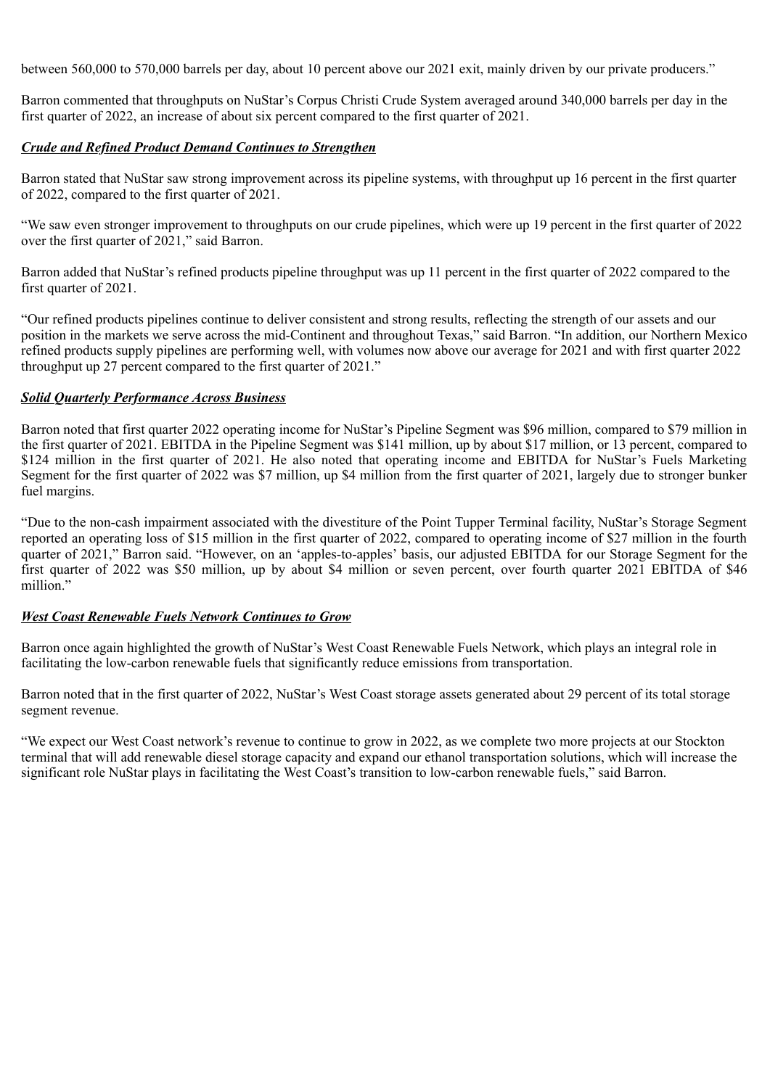between 560,000 to 570,000 barrels per day, about 10 percent above our 2021 exit, mainly driven by our private producers."

Barron commented that throughputs on NuStar's Corpus Christi Crude System averaged around 340,000 barrels per day in the first quarter of 2022, an increase of about six percent compared to the first quarter of 2021.

# *Crude and Refined Product Demand Continues to Strengthen*

Barron stated that NuStar saw strong improvement across its pipeline systems, with throughput up 16 percent in the first quarter of 2022, compared to the first quarter of 2021.

"We saw even stronger improvement to throughputs on our crude pipelines, which were up 19 percent in the first quarter of 2022 over the first quarter of 2021," said Barron.

Barron added that NuStar's refined products pipeline throughput was up 11 percent in the first quarter of 2022 compared to the first quarter of 2021.

"Our refined products pipelines continue to deliver consistent and strong results, reflecting the strength of our assets and our position in the markets we serve across the mid-Continent and throughout Texas," said Barron. "In addition, our Northern Mexico refined products supply pipelines are performing well, with volumes now above our average for 2021 and with first quarter 2022 throughput up 27 percent compared to the first quarter of 2021."

# *Solid Quarterly Performance Across Business*

Barron noted that first quarter 2022 operating income for NuStar's Pipeline Segment was \$96 million, compared to \$79 million in the first quarter of 2021. EBITDA in the Pipeline Segment was \$141 million, up by about \$17 million, or 13 percent, compared to \$124 million in the first quarter of 2021. He also noted that operating income and EBITDA for NuStar's Fuels Marketing Segment for the first quarter of 2022 was \$7 million, up \$4 million from the first quarter of 2021, largely due to stronger bunker fuel margins.

"Due to the non-cash impairment associated with the divestiture of the Point Tupper Terminal facility, NuStar's Storage Segment reported an operating loss of \$15 million in the first quarter of 2022, compared to operating income of \$27 million in the fourth quarter of 2021," Barron said. "However, on an 'apples-to-apples' basis, our adjusted EBITDA for our Storage Segment for the first quarter of 2022 was \$50 million, up by about \$4 million or seven percent, over fourth quarter 2021 EBITDA of \$46 million."

### *West Coast Renewable Fuels Network Continues to Grow*

Barron once again highlighted the growth of NuStar's West Coast Renewable Fuels Network, which plays an integral role in facilitating the low-carbon renewable fuels that significantly reduce emissions from transportation.

Barron noted that in the first quarter of 2022, NuStar's West Coast storage assets generated about 29 percent of its total storage segment revenue.

"We expect our West Coast network's revenue to continue to grow in 2022, as we complete two more projects at our Stockton terminal that will add renewable diesel storage capacity and expand our ethanol transportation solutions, which will increase the significant role NuStar plays in facilitating the West Coast's transition to low-carbon renewable fuels," said Barron.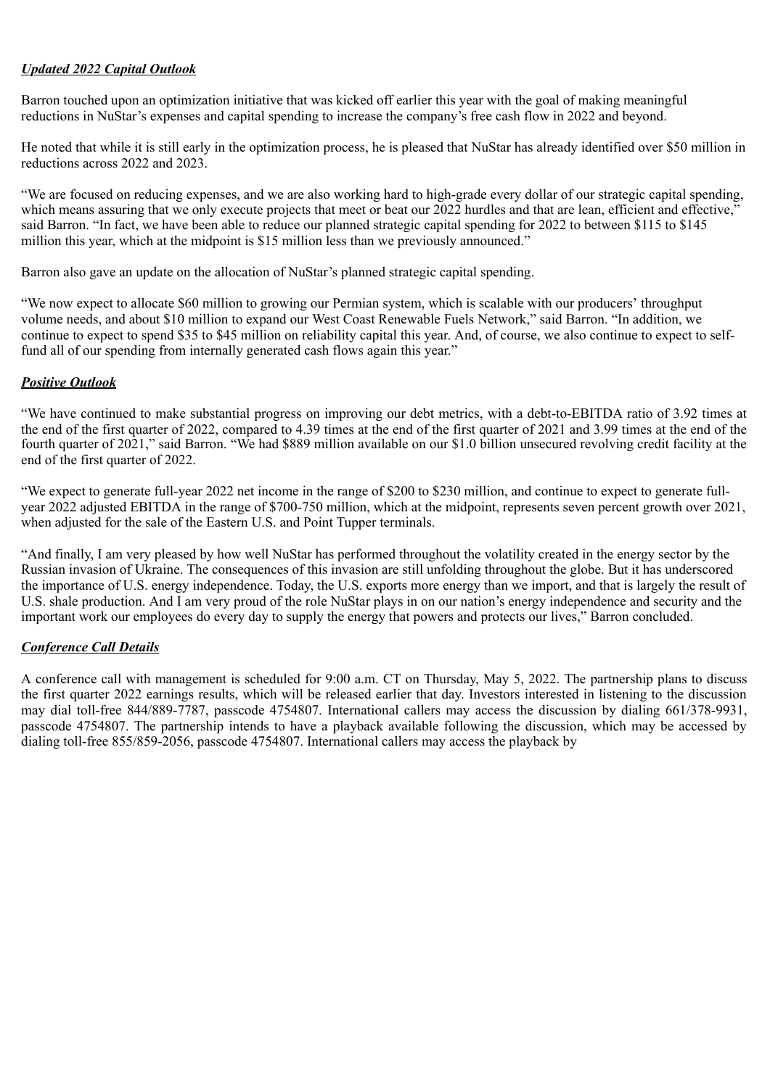# *Updated 2022 Capital Outlook*

Barron touched upon an optimization initiative that was kicked off earlier this year with the goal of making meaningful reductions in NuStar's expenses and capital spending to increase the company's free cash flow in 2022 and beyond.

He noted that while it is still early in the optimization process, he is pleased that NuStar has already identified over \$50 million in reductions across 2022 and 2023.

"We are focused on reducing expenses, and we are also working hard to high-grade every dollar of our strategic capital spending, which means assuring that we only execute projects that meet or beat our  $2022$  hurdles and that are lean, efficient and effective, said Barron. "In fact, we have been able to reduce our planned strategic capital spending for 2022 to between \$115 to \$145 million this year, which at the midpoint is \$15 million less than we previously announced."

Barron also gave an update on the allocation of NuStar's planned strategic capital spending.

"We now expect to allocate \$60 million to growing our Permian system, which is scalable with our producers' throughput volume needs, and about \$10 million to expand our West Coast Renewable Fuels Network," said Barron. "In addition, we continue to expect to spend \$35 to \$45 million on reliability capital this year. And, of course, we also continue to expect to selffund all of our spending from internally generated cash flows again this year."

# *Positive Outlook*

"We have continued to make substantial progress on improving our debt metrics, with a debt-to-EBITDA ratio of 3.92 times at the end of the first quarter of 2022, compared to 4.39 times at the end of the first quarter of 2021 and 3.99 times at the end of the fourth quarter of 2021," said Barron. "We had \$889 million available on our \$1.0 billion unsecured revolving credit facility at the end of the first quarter of 2022.

"We expect to generate full-year 2022 net income in the range of \$200 to \$230 million, and continue to expect to generate fullyear 2022 adjusted EBITDA in the range of \$700-750 million, which at the midpoint, represents seven percent growth over 2021, when adjusted for the sale of the Eastern U.S. and Point Tupper terminals.

"And finally, I am very pleased by how well NuStar has performed throughout the volatility created in the energy sector by the Russian invasion of Ukraine. The consequences of this invasion are still unfolding throughout the globe. But it has underscored the importance of U.S. energy independence. Today, the U.S. exports more energy than we import, and that is largely the result of U.S. shale production. And I am very proud of the role NuStar plays in on our nation's energy independence and security and the important work our employees do every day to supply the energy that powers and protects our lives," Barron concluded.

# *Conference Call Details*

A conference call with management is scheduled for 9:00 a.m. CT on Thursday, May 5, 2022. The partnership plans to discuss the first quarter 2022 earnings results, which will be released earlier that day. Investors interested in listening to the discussion may dial toll-free 844/889-7787, passcode 4754807. International callers may access the discussion by dialing 661/378-9931, passcode 4754807. The partnership intends to have a playback available following the discussion, which may be accessed by dialing toll-free 855/859-2056, passcode 4754807. International callers may access the playback by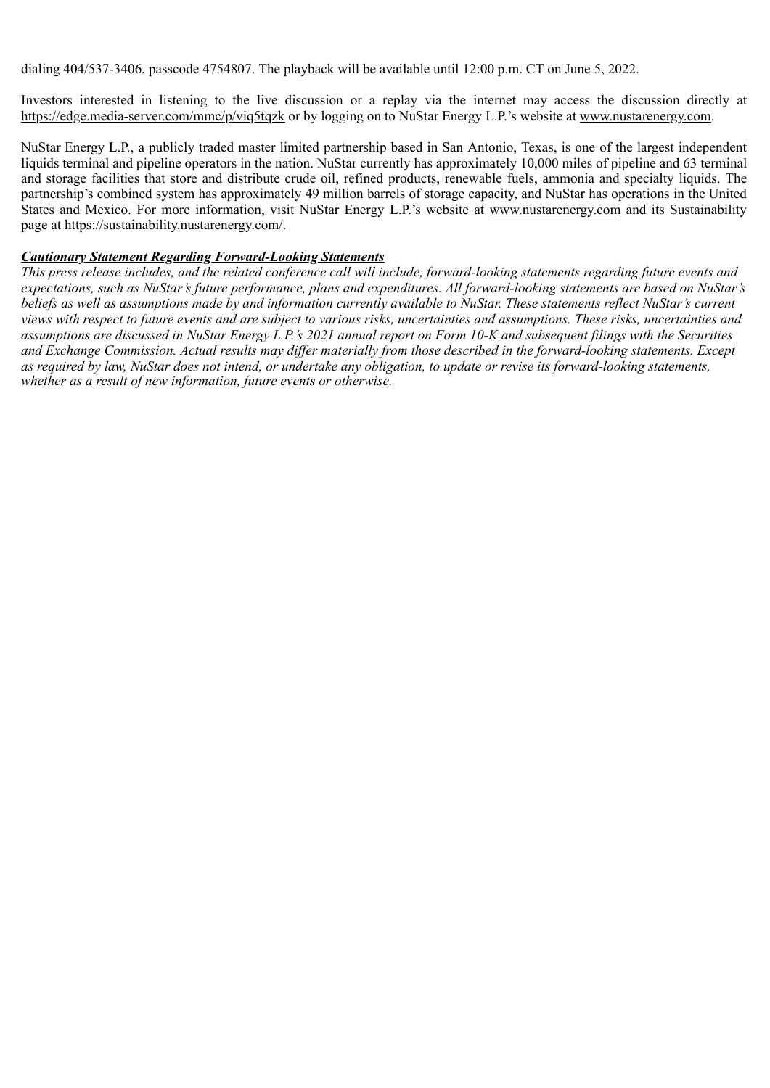dialing 404/537-3406, passcode 4754807. The playback will be available until 12:00 p.m. CT on June 5, 2022.

Investors interested in listening to the live discussion or a replay via the internet may access the discussion directly at https://edge.media-server.com/mmc/p/viq5tqzk or by logging on to NuStar Energy L.P.'s website at www.nustarenergy.com.

NuStar Energy L.P., a publicly traded master limited partnership based in San Antonio, Texas, is one of the largest independent liquids terminal and pipeline operators in the nation. NuStar currently has approximately 10,000 miles of pipeline and 63 terminal and storage facilities that store and distribute crude oil, refined products, renewable fuels, ammonia and specialty liquids. The partnership's combined system has approximately 49 million barrels of storage capacity, and NuStar has operations in the United States and Mexico. For more information, visit NuStar Energy L.P.'s website at www.nustarenergy.com and its Sustainability page at https://sustainability.nustarenergy.com/.

#### *Cautionary Statement Regarding Forward-Looking Statements*

*This press release includes, and the related conference call will include, forward-looking statements regarding future events and expectations, such as NuStar's future performance, plans and expenditures. All forward-looking statements are based on NuStar's beliefs as well as assumptions made by and information currently available to NuStar. These statements reflect NuStar's current views with respect to future events and are subject to various risks, uncertainties and assumptions. These risks, uncertainties and assumptions are discussed in NuStar Energy L.P.'s 2021 annual report on Form 10-K and subsequent filings with the Securities and Exchange Commission. Actual results may differ materially from those described in the forward-looking statements. Except as required by law, NuStar does not intend, or undertake any obligation, to update or revise its forward-looking statements, whether as a result of new information, future events or otherwise.*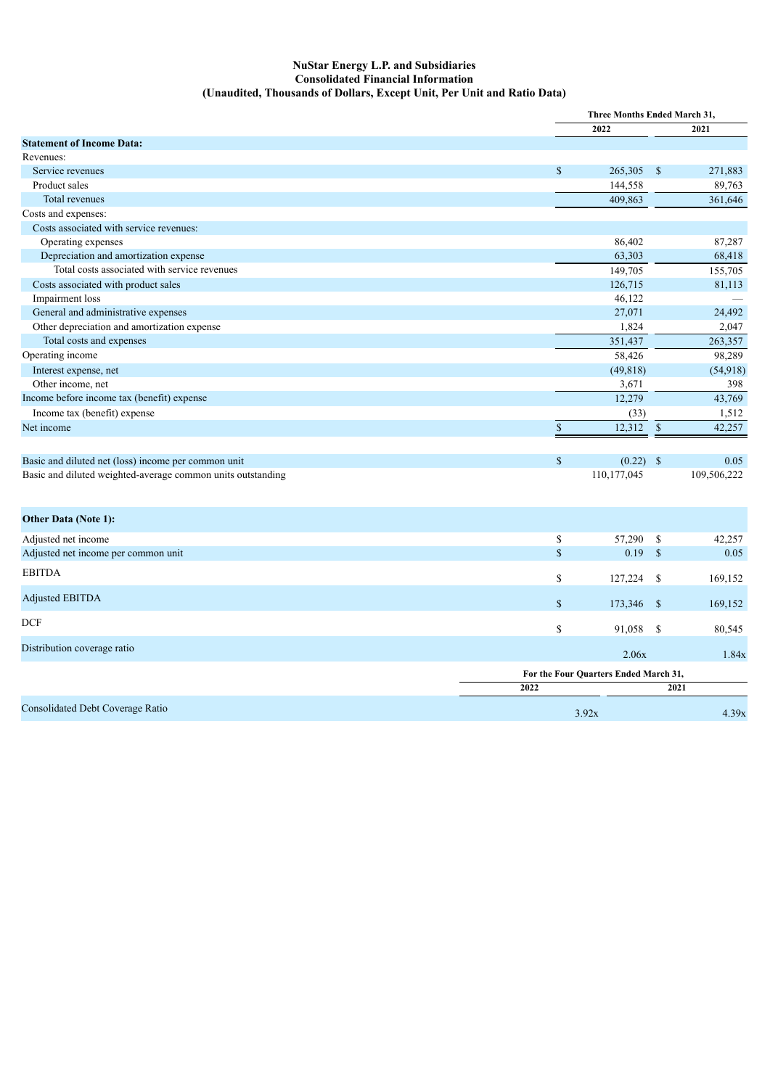#### **NuStar Energy L.P. and Subsidiaries Consolidated Financial Information (Unaudited, Thousands of Dollars, Except Unit, Per Unit and Ratio Data)**

|                                                             |                    | Three Months Ended March 31,          |                    |             |
|-------------------------------------------------------------|--------------------|---------------------------------------|--------------------|-------------|
|                                                             |                    | 2022                                  |                    | 2021        |
| <b>Statement of Income Data:</b>                            |                    |                                       |                    |             |
| Revenues:                                                   |                    |                                       |                    |             |
| Service revenues                                            | \$                 | 265,305                               | <sup>S</sup>       | 271,883     |
| Product sales                                               |                    | 144,558                               |                    | 89,763      |
| Total revenues                                              |                    | 409,863                               |                    | 361,646     |
| Costs and expenses:                                         |                    |                                       |                    |             |
| Costs associated with service revenues:                     |                    |                                       |                    |             |
| Operating expenses                                          |                    | 86,402                                |                    | 87,287      |
| Depreciation and amortization expense                       |                    | 63,303                                |                    | 68,418      |
| Total costs associated with service revenues                |                    | 149,705                               |                    | 155,705     |
| Costs associated with product sales                         |                    | 126,715                               |                    | 81,113      |
| Impairment loss                                             |                    | 46,122                                |                    |             |
| General and administrative expenses                         |                    | 27,071                                |                    | 24,492      |
| Other depreciation and amortization expense                 |                    | 1,824                                 |                    | 2,047       |
| Total costs and expenses                                    |                    | 351,437                               |                    | 263,357     |
| Operating income                                            |                    | 58,426                                |                    | 98,289      |
| Interest expense, net                                       |                    | (49, 818)                             |                    | (54, 918)   |
| Other income, net                                           |                    | 3,671                                 |                    | 398         |
| Income before income tax (benefit) expense                  |                    | 12,279                                |                    | 43,769      |
| Income tax (benefit) expense                                |                    | (33)                                  |                    | 1,512       |
| Net income                                                  | $\mathbf{\hat{S}}$ | 12,312                                | $\mathbb{S}$       | 42,257      |
|                                                             |                    |                                       |                    |             |
| Basic and diluted net (loss) income per common unit         | $\mathbb{S}$       | $(0.22)$ \$                           |                    | 0.05        |
| Basic and diluted weighted-average common units outstanding |                    | 110,177,045                           |                    | 109,506,222 |
|                                                             |                    |                                       |                    |             |
| <b>Other Data (Note 1):</b>                                 |                    |                                       |                    |             |
| Adjusted net income                                         | \$                 | 57,290                                | - \$               | 42,257      |
| Adjusted net income per common unit                         | \$                 | 0.19                                  | $\mathbf{\hat{s}}$ | 0.05        |
| <b>EBITDA</b>                                               | \$                 | 127,224                               | -S                 | 169,152     |
| Adjusted EBITDA                                             | $\mathbf S$        |                                       | - \$               | 169,152     |
| <b>DCF</b>                                                  |                    | 173,346                               |                    |             |
|                                                             | \$                 | 91,058                                | -S                 | 80,545      |
| Distribution coverage ratio                                 |                    | 2.06x                                 |                    | 1.84x       |
|                                                             |                    | For the Four Quarters Ended March 31, |                    |             |
|                                                             | 2022               |                                       |                    | 2021        |
| Consolidated Debt Coverage Ratio                            |                    | 3.92x                                 |                    | 4.39x       |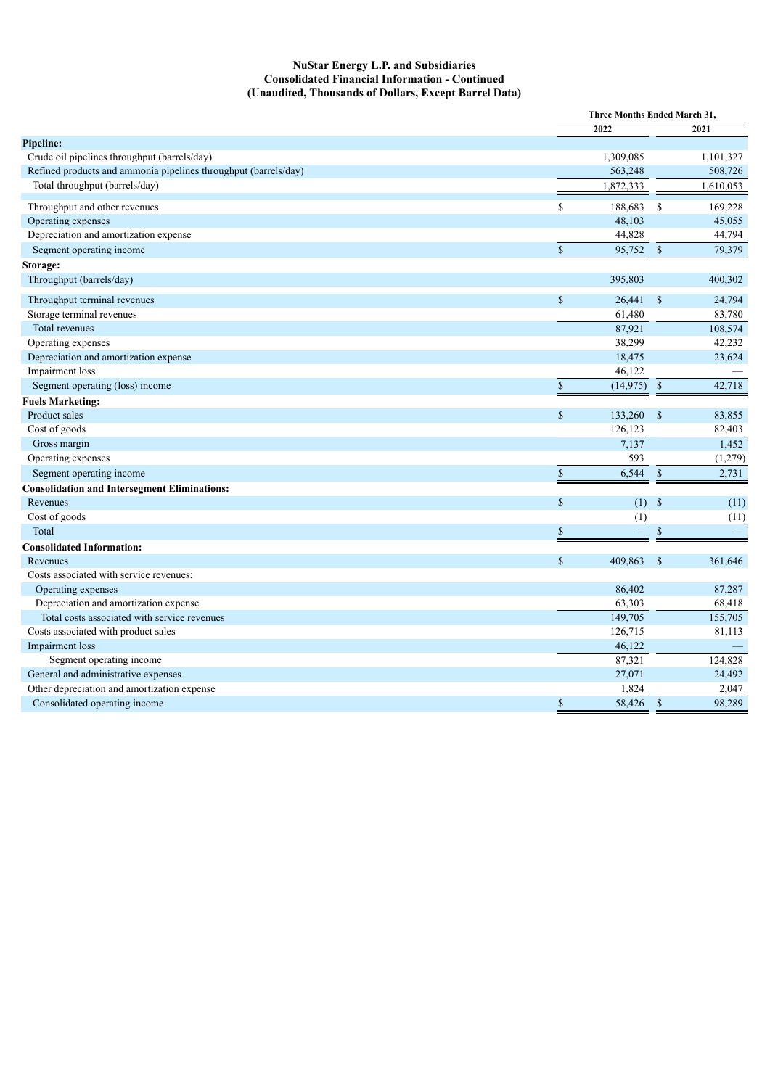#### **NuStar Energy L.P. and Subsidiaries Consolidated Financial Information - Continued (Unaudited, Thousands of Dollars, Except Barrel Data)**

|                                                                 |                           | Three Months Ended March 31, |                    |           |
|-----------------------------------------------------------------|---------------------------|------------------------------|--------------------|-----------|
|                                                                 |                           | 2022                         |                    | 2021      |
| Pipeline:                                                       |                           |                              |                    |           |
| Crude oil pipelines throughput (barrels/day)                    |                           | 1,309,085                    |                    | 1,101,327 |
| Refined products and ammonia pipelines throughput (barrels/day) |                           | 563,248                      |                    | 508,726   |
| Total throughput (barrels/day)                                  |                           | 1,872,333                    |                    | 1,610,053 |
| Throughput and other revenues                                   | \$                        | 188,683                      | -S                 | 169,228   |
| Operating expenses                                              |                           | 48,103                       |                    | 45,055    |
| Depreciation and amortization expense                           |                           | 44,828                       |                    | 44,794    |
| Segment operating income                                        | $\mathbb{S}$              | 95,752 \$                    |                    | 79,379    |
| Storage:                                                        |                           |                              |                    |           |
| Throughput (barrels/day)                                        |                           | 395,803                      |                    | 400,302   |
| Throughput terminal revenues                                    | $\mathsf{\$}$             | 26,441                       | $\mathbf S$        | 24,794    |
| Storage terminal revenues                                       |                           | 61,480                       |                    | 83,780    |
| Total revenues                                                  |                           | 87,921                       |                    | 108,574   |
| Operating expenses                                              |                           | 38,299                       |                    | 42,232    |
| Depreciation and amortization expense                           |                           | 18,475                       |                    | 23,624    |
| Impairment loss                                                 |                           | 46,122                       |                    |           |
| Segment operating (loss) income                                 | $\$$                      | $(14,975)$ \$                |                    | 42,718    |
| <b>Fuels Marketing:</b>                                         |                           |                              |                    |           |
| Product sales                                                   | $\mathsf{\$}$             | 133,260                      | $\mathbf{\hat{s}}$ | 83,855    |
| Cost of goods                                                   |                           | 126,123                      |                    | 82,403    |
| Gross margin                                                    |                           | 7,137                        |                    | 1,452     |
| Operating expenses                                              |                           | 593                          |                    | (1,279)   |
| Segment operating income                                        | $\boldsymbol{\mathsf{S}}$ | 6,544                        | $\mathbb{S}$       | 2,731     |
| <b>Consolidation and Intersegment Eliminations:</b>             |                           |                              |                    |           |
| Revenues                                                        | $\mathcal{S}$             | $(1)$ \$                     |                    | (11)      |
| Cost of goods                                                   |                           | (1)                          |                    | (11)      |
| Total                                                           | $\mathbb{S}$              |                              | $\overline{\$}$    |           |
| <b>Consolidated Information:</b>                                |                           |                              |                    |           |
| Revenues                                                        | $\mathbb{S}$              | 409,863                      | $\mathbf{\hat{s}}$ | 361,646   |
| Costs associated with service revenues:                         |                           |                              |                    |           |
| Operating expenses                                              |                           | 86,402                       |                    | 87,287    |
| Depreciation and amortization expense                           |                           | 63,303                       |                    | 68,418    |
| Total costs associated with service revenues                    |                           | 149,705                      |                    | 155,705   |
| Costs associated with product sales                             |                           | 126,715                      |                    | 81,113    |
| Impairment loss                                                 |                           | 46,122                       |                    |           |
| Segment operating income                                        |                           | 87,321                       |                    | 124,828   |
| General and administrative expenses                             |                           | 27,071                       |                    | 24,492    |
| Other depreciation and amortization expense                     |                           | 1,824                        |                    | 2,047     |
| Consolidated operating income                                   | $\boldsymbol{\mathsf{S}}$ | 58,426                       | $\mathbb{S}$       | 98,289    |
|                                                                 |                           |                              |                    |           |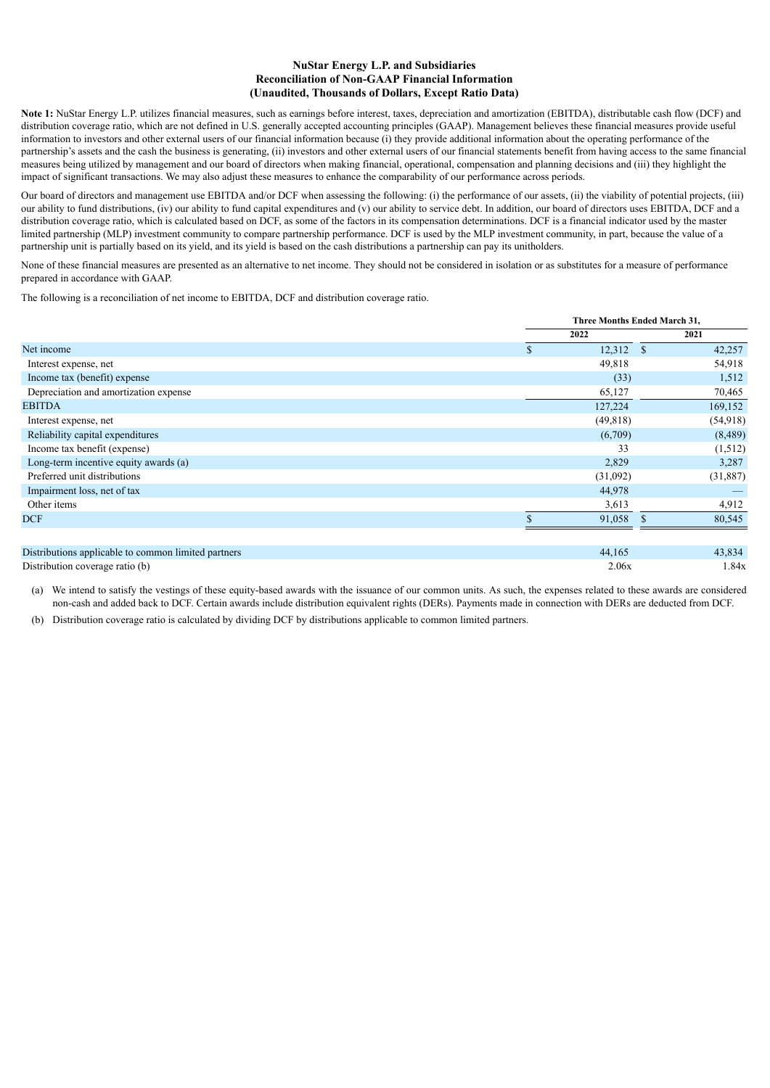#### **NuStar Energy L.P. and Subsidiaries Reconciliation of Non-GAAP Financial Information (Unaudited, Thousands of Dollars, Except Ratio Data)**

**Note 1:** NuStar Energy L.P. utilizes financial measures, such as earnings before interest, taxes, depreciation and amortization (EBITDA), distributable cash flow (DCF) and distribution coverage ratio, which are not defined in U.S. generally accepted accounting principles (GAAP). Management believes these financial measures provide useful information to investors and other external users of our financial information because (i) they provide additional information about the operating performance of the partnership's assets and the cash the business is generating, (ii) investors and other external users of our financial statements benefit from having access to the same financial measures being utilized by management and our board of directors when making financial, operational, compensation and planning decisions and (iii) they highlight the impact of significant transactions. We may also adjust these measures to enhance the comparability of our performance across periods.

Our board of directors and management use EBITDA and/or DCF when assessing the following: (i) the performance of our assets, (ii) the viability of potential projects, (iii) our ability to fund distributions, (iv) our ability to fund capital expenditures and (v) our ability to service debt. In addition, our board of directors uses EBITDA, DCF and a distribution coverage ratio, which is calculated based on DCF, as some of the factors in its compensation determinations. DCF is a financial indicator used by the master limited partnership (MLP) investment community to compare partnership performance. DCF is used by the MLP investment community, in part, because the value of a partnership unit is partially based on its yield, and its yield is based on the cash distributions a partnership can pay its unitholders.

None of these financial measures are presented as an alternative to net income. They should not be considered in isolation or as substitutes for a measure of performance prepared in accordance with GAAP.

The following is a reconciliation of net income to EBITDA, DCF and distribution coverage ratio.

|                                                     |         | Three Months Ended March 31, |          |
|-----------------------------------------------------|---------|------------------------------|----------|
|                                                     | 2022    |                              | 2021     |
| Net income                                          | \$      | 12,312<br><sup>\$</sup>      | 42,257   |
| Interest expense, net                               |         | 49,818                       | 54,918   |
| Income tax (benefit) expense                        |         | (33)                         | 1,512    |
| Depreciation and amortization expense               |         | 65,127                       | 70,465   |
| <b>EBITDA</b>                                       | 127,224 |                              | 169,152  |
| Interest expense, net                               |         | (49, 818)                    | (54,918) |
| Reliability capital expenditures                    |         | (6,709)                      | (8,489)  |
| Income tax benefit (expense)                        |         | 33                           | (1,512)  |
| Long-term incentive equity awards (a)               |         | 2,829                        | 3,287    |
| Preferred unit distributions                        |         | (31,092)                     | (31,887) |
| Impairment loss, net of tax                         |         | 44,978                       |          |
| Other items                                         |         | 3,613                        | 4,912    |
| <b>DCF</b>                                          |         | 91,058                       | 80,545   |
|                                                     |         |                              |          |
| Distributions applicable to common limited northons |         | $AA$ 165                     | 12.021   |

Distributions applicable to common limited partners 44,165 Distribution coverage ratio (b)  $2.06x$  1.84x

(a) We intend to satisfy the vestings of these equity-based awards with the issuance of our common units. As such, the expenses related to these awards are considered non-cash and added back to DCF. Certain awards include distribution equivalent rights (DERs). Payments made in connection with DERs are deducted from DCF.

(b) Distribution coverage ratio is calculated by dividing DCF by distributions applicable to common limited partners.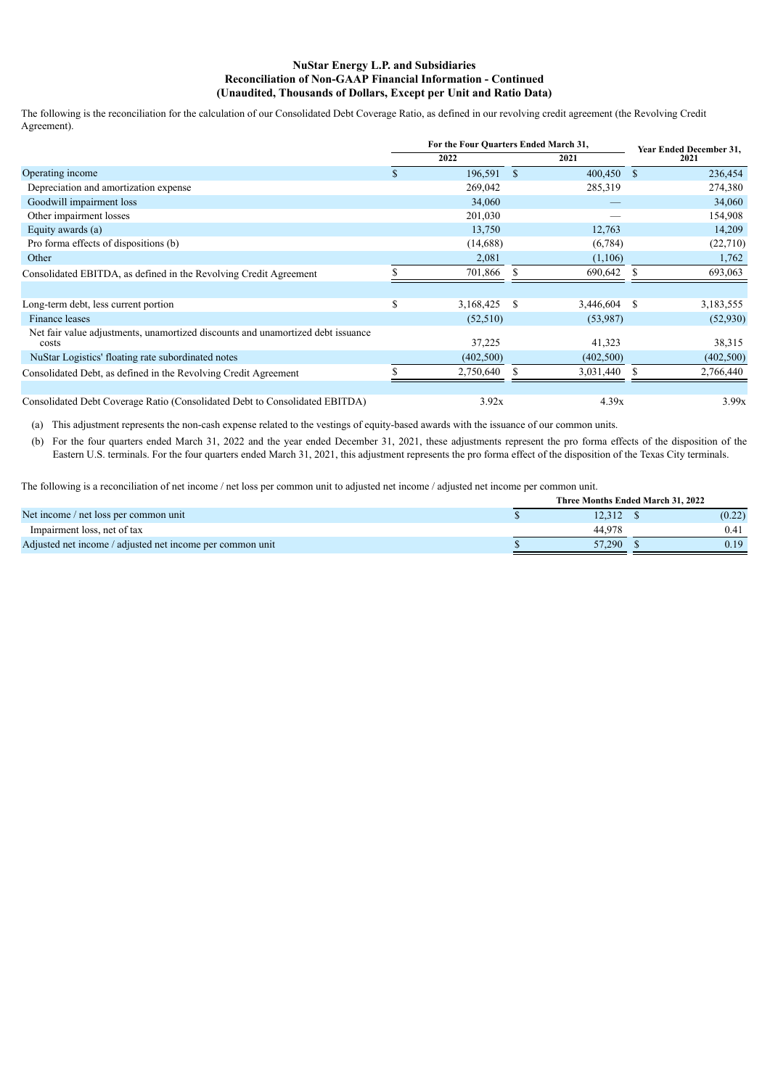#### **NuStar Energy L.P. and Subsidiaries Reconciliation of Non-GAAP Financial Information - Continued (Unaudited, Thousands of Dollars, Except per Unit and Ratio Data)**

The following is the reconciliation for the calculation of our Consolidated Debt Coverage Ratio, as defined in our revolving credit agreement (the Revolving Credit Agreement).

|                                                                                          | For the Four Quarters Ended March 31, |                |    | Year Ended December 31, |
|------------------------------------------------------------------------------------------|---------------------------------------|----------------|----|-------------------------|
|                                                                                          | 2022                                  | 2021           |    | 2021                    |
| Operating income                                                                         | \$<br>196,591 \$                      | 400,450        | -S | 236,454                 |
| Depreciation and amortization expense                                                    | 269,042                               | 285,319        |    | 274,380                 |
| Goodwill impairment loss                                                                 | 34,060                                |                |    | 34,060                  |
| Other impairment losses                                                                  | 201,030                               |                |    | 154,908                 |
| Equity awards (a)                                                                        | 13,750                                | 12,763         |    | 14,209                  |
| Pro forma effects of dispositions (b)                                                    | (14,688)                              | (6,784)        |    | (22,710)                |
| Other                                                                                    | 2,081                                 | (1,106)        |    | 1,762                   |
| Consolidated EBITDA, as defined in the Revolving Credit Agreement                        | 701,866                               | 690,642        |    | 693,063                 |
|                                                                                          |                                       |                |    |                         |
| Long-term debt, less current portion                                                     | \$<br>3,168,425 \$                    | $3,446,604$ \$ |    | 3,183,555               |
| Finance leases                                                                           | (52, 510)                             | (53,987)       |    | (52,930)                |
| Net fair value adjustments, unamortized discounts and unamortized debt issuance<br>costs | 37,225                                | 41,323         |    | 38,315                  |
| NuStar Logistics' floating rate subordinated notes                                       | (402, 500)                            | (402, 500)     |    | (402, 500)              |
| Consolidated Debt, as defined in the Revolving Credit Agreement                          | 2,750,640                             | 3,031,440      |    | 2,766,440               |
|                                                                                          |                                       |                |    |                         |
| Consolidated Debt Coverage Ratio (Consolidated Debt to Consolidated EBITDA)              | 3.92x                                 | 4.39x          |    | 3.99x                   |

(a) This adjustment represents the non-cash expense related to the vestings of equity-based awards with the issuance of our common units.

(b) For the four quarters ended March 31, 2022 and the year ended December 31, 2021, these adjustments represent the pro forma effects of the disposition of the Eastern U.S. terminals. For the four quarters ended March 31, 2021, this adjustment represents the pro forma effect of the disposition of the Texas City terminals.

The following is a reconciliation of net income / net loss per common unit to adjusted net income / adjusted net income per common unit.

|                                                           | Three Months Ended March 31, 2022 |        |
|-----------------------------------------------------------|-----------------------------------|--------|
| Net income / net loss per common unit                     |                                   | (0.22) |
| Impairment loss, net of tax                               | 44 978                            | 0.41   |
| Adjusted net income / adjusted net income per common unit | 57.290                            | 0.19   |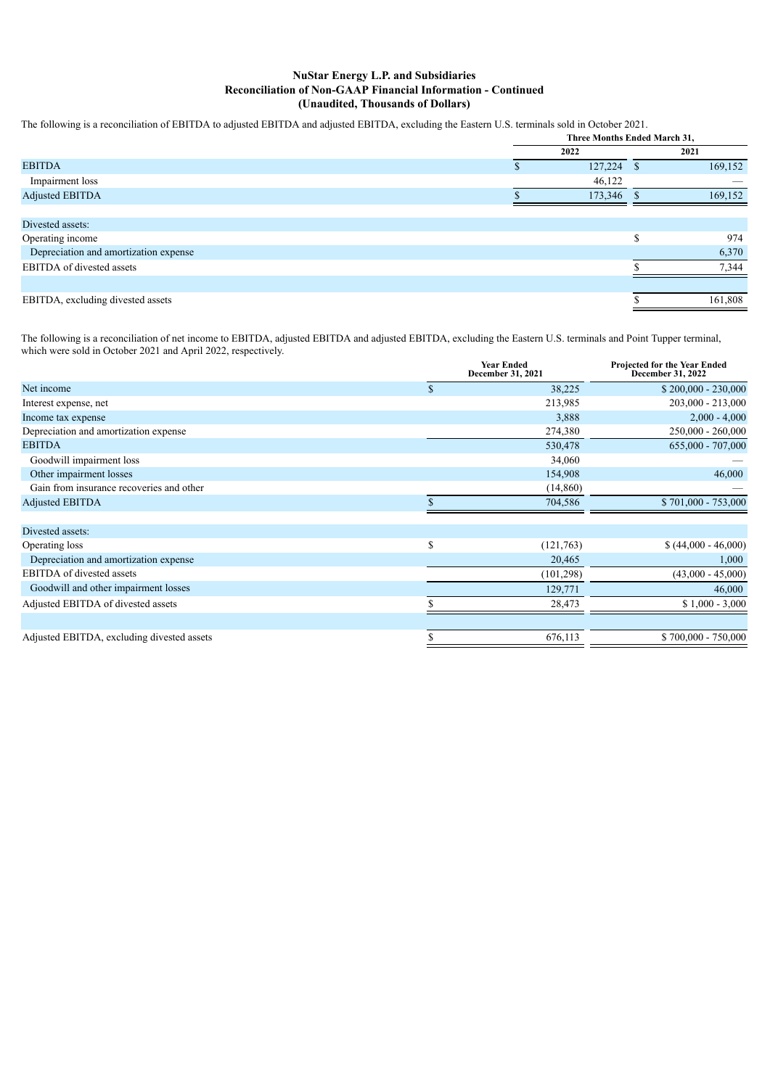#### **NuStar Energy L.P. and Subsidiaries Reconciliation of Non-GAAP Financial Information - Continued (Unaudited, Thousands of Dollars)**

The following is a reconciliation of EBITDA to adjusted EBITDA and adjusted EBITDA, excluding the Eastern U.S. terminals sold in October 2021.

|                                       | Three Months Ended March 31, |               |
|---------------------------------------|------------------------------|---------------|
|                                       | 2022                         | 2021          |
| <b>EBITDA</b>                         | 127,224                      | \$<br>169,152 |
| Impairment loss                       | 46,122                       |               |
| <b>Adjusted EBITDA</b>                | 173,346                      | 169,152       |
|                                       |                              |               |
| Divested assets:                      |                              |               |
| Operating income                      |                              | 974           |
| Depreciation and amortization expense |                              | 6,370         |
| EBITDA of divested assets             |                              | 7,344         |
|                                       |                              |               |
| EBITDA, excluding divested assets     |                              | 161,808       |

The following is a reconciliation of net income to EBITDA, adjusted EBITDA and adjusted EBITDA, excluding the Eastern U.S. terminals and Point Tupper terminal, which were sold in October 2021 and April 2022, respectively.

|                                            |              | <b>Year Ended</b><br>December 31, 2021 | Projected for the Year Ended<br>December 31, 2022 |
|--------------------------------------------|--------------|----------------------------------------|---------------------------------------------------|
| Net income                                 | $\mathbb{S}$ | 38,225                                 | $$200,000 - 230,000$                              |
| Interest expense, net                      |              | 213,985                                | 203,000 - 213,000                                 |
| Income tax expense                         |              | 3,888                                  | $2,000 - 4,000$                                   |
| Depreciation and amortization expense      |              | 274,380                                | 250,000 - 260,000                                 |
| <b>EBITDA</b>                              |              | 530,478                                | 655,000 - 707,000                                 |
| Goodwill impairment loss                   |              | 34,060                                 |                                                   |
| Other impairment losses                    |              | 154,908                                | 46,000                                            |
| Gain from insurance recoveries and other   |              | (14, 860)                              |                                                   |
| <b>Adjusted EBITDA</b>                     |              | 704,586                                | \$701,000 - 753,000                               |
| Divested assets:                           |              |                                        |                                                   |
| Operating loss                             | \$           | (121,763)                              | $(44,000 - 46,000)$                               |
| Depreciation and amortization expense      |              | 20,465                                 | 1,000                                             |
| <b>EBITDA</b> of divested assets           |              | (101, 298)                             | $(43,000 - 45,000)$                               |
| Goodwill and other impairment losses       |              | 129,771                                | 46,000                                            |
| Adjusted EBITDA of divested assets         |              | 28,473                                 | $$1,000 - 3,000$                                  |
| Adjusted EBITDA, excluding divested assets |              | 676,113                                | \$700,000 - 750,000                               |
|                                            |              |                                        |                                                   |